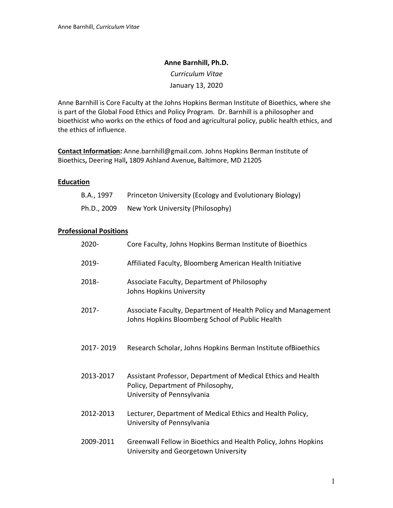#### **Anne Barnhill, Ph.D.**

*Curriculum Vitae* January 13, 2020

Anne Barnhill is Core Faculty at the Johns Hopkins Berman Institute of Bioethics, where she is part of the Global Food Ethics and Policy Program. Dr. Barnhill is a philosopher and bioethicist who works on the ethics of food and agricultural policy, public health ethics, and the ethics of influence.

**Contact Information:** Anne.barnhill@gmail.com. Johns Hopkins Berman Institute of Bioethics**,** Deering Hall**,** 1809 Ashland Avenue**,** Baltimore, MD 21205

#### **Education**

| B.A., 1997  | Princeton University (Ecology and Evolutionary Biology) |
|-------------|---------------------------------------------------------|
| Ph.D., 2009 | New York University (Philosophy)                        |

#### **Professional Positions**

| 2020-     | Core Faculty, Johns Hopkins Berman Institute of Bioethics                                                                       |
|-----------|---------------------------------------------------------------------------------------------------------------------------------|
| 2019-     | Affiliated Faculty, Bloomberg American Health Initiative                                                                        |
| 2018-     | Associate Faculty, Department of Philosophy<br>Johns Hopkins University                                                         |
| $2017 -$  | Associate Faculty, Department of Health Policy and Management<br>Johns Hopkins Bloomberg School of Public Health                |
| 2017-2019 | Research Scholar, Johns Hopkins Berman Institute of Bioethics                                                                   |
| 2013-2017 | Assistant Professor, Department of Medical Ethics and Health<br>Policy, Department of Philosophy,<br>University of Pennsylvania |
| 2012-2013 | Lecturer, Department of Medical Ethics and Health Policy,<br>University of Pennsylvania                                         |
| 2009-2011 | Greenwall Fellow in Bioethics and Health Policy, Johns Hopkins<br>University and Georgetown University                          |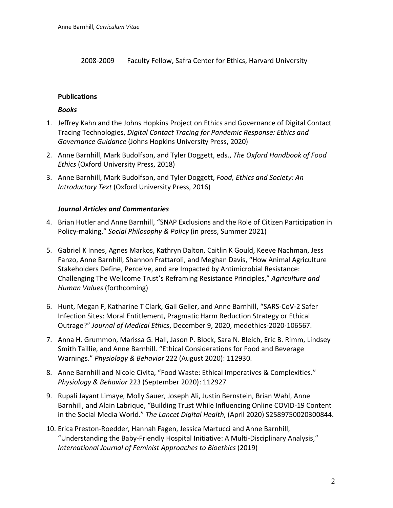2008-2009 Faculty Fellow, Safra Center for Ethics, Harvard University

# **Publications**

### *Books*

- 1. Jeffrey Kahn and the Johns Hopkins Project on Ethics and Governance of Digital Contact Tracing Technologies, *Digital Contact Tracing for Pandemic Response: Ethics and Governance Guidance* (Johns Hopkins University Press, 2020)
- 2. Anne Barnhill, Mark Budolfson, and Tyler Doggett, eds., *The Oxford Handbook of Food Ethics* (Oxford University Press, 2018)
- 3. Anne Barnhill, Mark Budolfson, and Tyler Doggett, *Food, Ethics and Society: An Introductory Text* (Oxford University Press, 2016)

## *Journal Articles and Commentaries*

- 4. Brian Hutler and Anne Barnhill, "SNAP Exclusions and the Role of Citizen Participation in Policy-making," *Social Philosophy & Policy* (in press, Summer 2021)
- 5. Gabriel K Innes, Agnes Markos, Kathryn Dalton, Caitlin K Gould, Keeve Nachman, Jess Fanzo, Anne Barnhill, Shannon Frattaroli, and Meghan Davis, "How Animal Agriculture Stakeholders Define, Perceive, and are Impacted by Antimicrobial Resistance: Challenging The Wellcome Trust's Reframing Resistance Principles," *Agriculture and Human Values* (forthcoming)
- 6. Hunt, Megan F, Katharine T Clark, Gail Geller, and Anne Barnhill, "SARS-CoV-2 Safer Infection Sites: Moral Entitlement, Pragmatic Harm Reduction Strategy or Ethical Outrage?" *Journal of Medical Ethics*, December 9, 2020, medethics-2020-106567.
- 7. Anna H. Grummon, Marissa G. Hall, Jason P. Block, Sara N. Bleich, Eric B. Rimm, Lindsey Smith Taillie, and Anne Barnhill. "Ethical Considerations for Food and Beverage Warnings." *Physiology & Behavior* 222 (August 2020): 112930.
- 8. Anne Barnhill and Nicole Civita, "Food Waste: Ethical Imperatives & Complexities." *Physiology & Behavior* 223 (September 2020): 112927
- 9. Rupali Jayant Limaye, Molly Sauer, Joseph Ali, Justin Bernstein, Brian Wahl, Anne Barnhill, and Alain Labrique, "Building Trust While Influencing Online COVID-19 Content in the Social Media World." *The Lancet Digital Health*, (April 2020) S2589750020300844.
- 10. Erica Preston-Roedder, Hannah Fagen, Jessica Martucci and Anne Barnhill, "Understanding the Baby-Friendly Hospital Initiative: A Multi-Disciplinary Analysis," *International Journal of Feminist Approaches to Bioethics* (2019)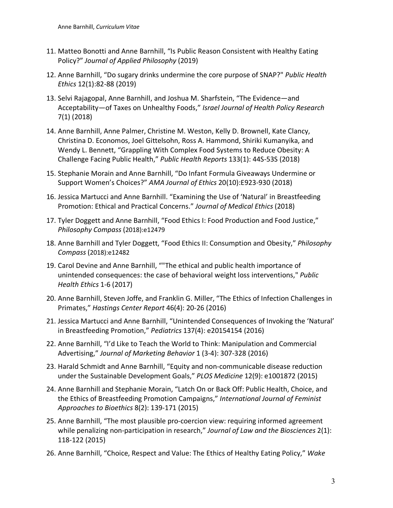- 11. Matteo Bonotti and Anne Barnhill, "Is Public Reason Consistent with Healthy Eating Policy?" *Journal of Applied Philosophy* (2019)
- 12. Anne Barnhill, "Do sugary drinks undermine the core purpose of SNAP?" *Public Health Ethics* 12(1):82-88 (2019)
- 13. Selvi Rajagopal, Anne Barnhill, and Joshua M. Sharfstein, "The Evidence—and Acceptability—of Taxes on Unhealthy Foods," *Israel Journal of Health Policy Research* 7(1) (2018)
- 14. Anne Barnhill, Anne Palmer, Christine M. Weston, Kelly D. Brownell, Kate Clancy, Christina D. Economos, Joel Gittelsohn, Ross A. Hammond, Shiriki Kumanyika, and Wendy L. Bennett, "Grappling With Complex Food Systems to Reduce Obesity: A Challenge Facing Public Health," *Public Health Reports* 133(1): 44S-53S (2018)
- 15. Stephanie Morain and Anne Barnhill, "Do Infant Formula Giveaways Undermine or Support Women's Choices?" *AMA Journal of Ethics* 20(10):E923-930 (2018)
- 16. Jessica Martucci and Anne Barnhill. "Examining the Use of 'Natural' in Breastfeeding Promotion: Ethical and Practical Concerns." *Journal of Medical Ethics* (2018)
- 17. Tyler Doggett and Anne Barnhill, "Food Ethics I: Food Production and Food Justice," *Philosophy Compass* (2018):e12479
- 18. Anne Barnhill and Tyler Doggett, "Food Ethics II: Consumption and Obesity," *Philosophy Compass* (2018):e12482
- 19. Carol Devine and Anne Barnhill, ""The ethical and public health importance of unintended consequences: the case of behavioral weight loss interventions," *Public Health Ethics* 1-6 (2017)
- 20. Anne Barnhill, Steven Joffe, and Franklin G. Miller, "The Ethics of Infection Challenges in Primates," *Hastings Center Report* 46(4): 20-26 (2016)
- 21. Jessica Martucci and Anne Barnhill, "Unintended Consequences of Invoking the 'Natural' in Breastfeeding Promotion," *Pediatrics* 137(4): e20154154 (2016)
- 22. Anne Barnhill, "I'd Like to Teach the World to Think: Manipulation and Commercial Advertising," *Journal of Marketing Behavior* 1 (3-4): 307-328 (2016)
- 23. Harald Schmidt and Anne Barnhill, "Equity and non-communicable disease reduction under the Sustainable Development Goals," *PLOS Medicine* 12(9): e1001872 (2015)
- 24. Anne Barnhill and Stephanie Morain, "Latch On or Back Off: Public Health, Choice, and the Ethics of Breastfeeding Promotion Campaigns," *International Journal of Feminist Approaches to Bioethics* 8(2): 139-171 (2015)
- 25. Anne Barnhill, "The most plausible pro-coercion view: requiring informed agreement while penalizing non-participation in research," *Journal of Law and the Biosciences* 2(1): 118-122 (2015)
- 26. Anne Barnhill, "Choice, Respect and Value: The Ethics of Healthy Eating Policy," *Wake*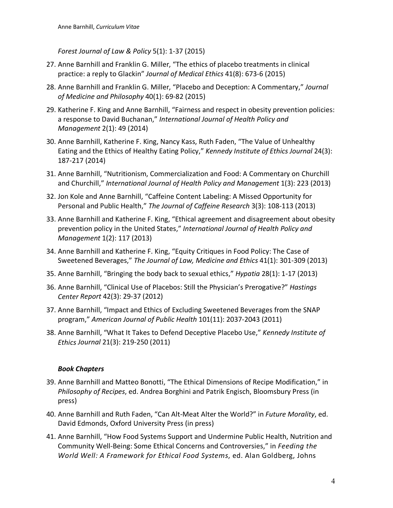*Forest Journal of Law & Policy* 5(1): 1-37 (2015)

- 27. Anne Barnhill and Franklin G. Miller, "The ethics of placebo treatments in clinical practice: a reply to Glackin" *Journal of Medical Ethics* 41(8): 673-6 (2015)
- 28. Anne Barnhill and Franklin G. Miller, "Placebo and Deception: A Commentary," *Journal of Medicine and Philosophy* 40(1): 69-82 (2015)
- 29. Katherine F. King and Anne Barnhill, "Fairness and respect in obesity prevention policies: a response to David Buchanan," *International Journal of Health Policy and Management* 2(1): 49 (2014)
- 30. Anne Barnhill, Katherine F. King, Nancy Kass, Ruth Faden, "The Value of Unhealthy Eating and the Ethics of Healthy Eating Policy," *Kennedy Institute of Ethics Journal* 24(3): 187-217 (2014)
- 31. Anne Barnhill, "Nutritionism, Commercialization and Food: A Commentary on Churchill and Churchill," *International Journal of Health Policy and Management* 1(3): 223 (2013)
- 32. Jon Kole and Anne Barnhill, "Caffeine Content Labeling: A Missed Opportunity for Personal and Public Health," *The Journal of Caffeine Research* 3(3): 108-113 (2013)
- 33. Anne Barnhill and Katherine F. King, "Ethical agreement and disagreement about obesity prevention policy in the United States," *International Journal of Health Policy and Management* 1(2): 117 (2013)
- 34. Anne Barnhill and Katherine F. King, "Equity Critiques in Food Policy: The Case of Sweetened Beverages," *The Journal of Law, Medicine and Ethics* 41(1): 301-309 (2013)
- 35. Anne Barnhill, "Bringing the body back to sexual ethics," *Hypatia* 28(1): 1-17 (2013)
- 36. Anne Barnhill, "Clinical Use of Placebos: Still the Physician's Prerogative?" *Hastings Center Report* 42(3): 29-37 (2012)
- 37. Anne Barnhill, "Impact and Ethics of Excluding Sweetened Beverages from the SNAP program," *American Journal of Public Health* 101(11): 2037-2043 (2011)
- 38. Anne Barnhill, "What It Takes to Defend Deceptive Placebo Use," *Kennedy Institute of Ethics Journal* 21(3): 219-250 (2011)

## *Book Chapters*

- 39. Anne Barnhill and Matteo Bonotti, "The Ethical Dimensions of Recipe Modification," in *Philosophy of Recipes*, ed. Andrea Borghini and Patrik Engisch, Bloomsbury Press (in press)
- 40. Anne Barnhill and Ruth Faden, "Can Alt-Meat Alter the World?" in *Future Morality*, ed. David Edmonds, Oxford University Press (in press)
- 41. Anne Barnhill, "How Food Systems Support and Undermine Public Health, Nutrition and Community Well-Being: Some Ethical Concerns and Controversies," in *Feeding the World Well: A Framework for Ethical Food Systems*, ed. Alan Goldberg, Johns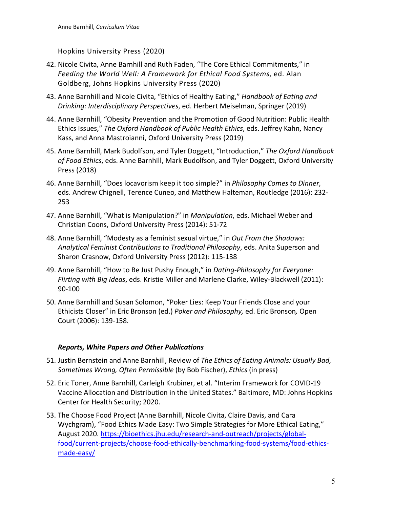Hopkins University Press (2020)

- 42. Nicole Civita, Anne Barnhill and Ruth Faden, "The Core Ethical Commitments," in *Feeding the World Well: A Framework for Ethical Food Systems*, ed. Alan Goldberg, Johns Hopkins University Press (2020)
- 43. Anne Barnhill and Nicole Civita, "Ethics of Healthy Eating," *Handbook of Eating and Drinking: Interdisciplinary Perspectives*, ed. Herbert Meiselman, Springer (2019)
- 44. Anne Barnhill, "Obesity Prevention and the Promotion of Good Nutrition: Public Health Ethics Issues," *The Oxford Handbook of Public Health Ethics*, eds. Jeffrey Kahn, Nancy Kass, and Anna Mastroianni, Oxford University Press (2019)
- 45. Anne Barnhill, Mark Budolfson, and Tyler Doggett, "Introduction," *The Oxford Handbook of Food Ethics*, eds. Anne Barnhill, Mark Budolfson, and Tyler Doggett, Oxford University Press (2018)
- 46. Anne Barnhill, "Does locavorism keep it too simple?" in *Philosophy Comes to Dinner*, eds. Andrew Chignell, Terence Cuneo, and Matthew Halteman, Routledge (2016): 232- 253
- 47. Anne Barnhill, "What is Manipulation?" in *Manipulation*, eds. Michael Weber and Christian Coons, Oxford University Press (2014): 51-72
- 48. Anne Barnhill, "Modesty as a feminist sexual virtue," in *Out From the Shadows: Analytical Feminist Contributions to Traditional Philosophy*, eds. Anita Superson and Sharon Crasnow, Oxford University Press (2012): 115-138
- 49. Anne Barnhill, "How to Be Just Pushy Enough," in *Dating-Philosophy for Everyone: Flirting with Big Ideas*, eds. Kristie Miller and Marlene Clarke, Wiley-Blackwell (2011): 90-100
- 50. Anne Barnhill and Susan Solomon, "Poker Lies: Keep Your Friends Close and your Ethicists Closer" in Eric Bronson (ed.) *Poker and Philosophy,* ed. Eric Bronson*,* Open Court (2006): 139-158.

## *Reports, White Papers and Other Publications*

- 51. Justin Bernstein and Anne Barnhill, Review of *The Ethics of Eating Animals: Usually Bad, Sometimes Wrong, Often Permissible* (by Bob Fischer), *Ethics* (in press)
- 52. Eric Toner, Anne Barnhill, Carleigh Krubiner, et al. "Interim Framework for COVID-19 Vaccine Allocation and Distribution in the United States." Baltimore, MD: Johns Hopkins Center for Health Security; 2020.
- 53. The Choose Food Project (Anne Barnhill, Nicole Civita, Claire Davis, and Cara Wychgram), "Food Ethics Made Easy: Two Simple Strategies for More Ethical Eating," August 2020. https://bioethics.jhu.edu/research-and-outreach/projects/globalfood/current-projects/choose-food-ethically-benchmarking-food-systems/food-ethicsmade-easy/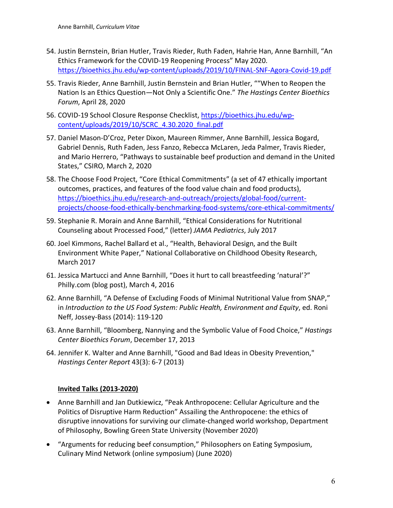- 54. Justin Bernstein, Brian Hutler, Travis Rieder, Ruth Faden, Hahrie Han, Anne Barnhill, "An Ethics Framework for the COVID-19 Reopening Process" May 2020. https://bioethics.jhu.edu/wp-content/uploads/2019/10/FINAL-SNF-Agora-Covid-19.pdf
- 55. Travis Rieder, Anne Barnhill, Justin Bernstein and Brian Hutler, ""When to Reopen the Nation Is an Ethics Question—Not Only a Scientific One." *The Hastings Center Bioethics Forum*, April 28, 2020
- 56. COVID-19 School Closure Response Checklist, https://bioethics.jhu.edu/wpcontent/uploads/2019/10/SCRC\_4.30.2020\_final.pdf
- 57. Daniel Mason-D'Croz, Peter Dixon, Maureen Rimmer, Anne Barnhill, Jessica Bogard, Gabriel Dennis, Ruth Faden, Jess Fanzo, Rebecca McLaren, Jeda Palmer, Travis Rieder, and Mario Herrero, "Pathways to sustainable beef production and demand in the United States," CSIRO, March 2, 2020
- 58. The Choose Food Project, "Core Ethical Commitments" (a set of 47 ethically important outcomes, practices, and features of the food value chain and food products), https://bioethics.jhu.edu/research-and-outreach/projects/global-food/currentprojects/choose-food-ethically-benchmarking-food-systems/core-ethical-commitments/
- 59. Stephanie R. Morain and Anne Barnhill, "Ethical Considerations for Nutritional Counseling about Processed Food," (letter) *JAMA Pediatrics*, July 2017
- 60. Joel Kimmons, Rachel Ballard et al., "Health, Behavioral Design, and the Built Environment White Paper," National Collaborative on Childhood Obesity Research, March 2017
- 61. Jessica Martucci and Anne Barnhill, "Does it hurt to call breastfeeding 'natural'?" Philly.com (blog post), March 4, 2016
- 62. Anne Barnhill, "A Defense of Excluding Foods of Minimal Nutritional Value from SNAP," in *Introduction to the US Food System: Public Health, Environment and Equity*, ed. Roni Neff, Jossey-Bass (2014): 119-120
- 63. Anne Barnhill, "Bloomberg, Nannying and the Symbolic Value of Food Choice," *Hastings Center Bioethics Forum*, December 17, 2013
- 64. Jennifer K. Walter and Anne Barnhill, "Good and Bad Ideas in Obesity Prevention," *Hastings Center Report* 43(3): 6-7 (2013)

## **Invited Talks (2013-2020)**

- Anne Barnhill and Jan Dutkiewicz, "Peak Anthropocene: Cellular Agriculture and the Politics of Disruptive Harm Reduction" Assailing the Anthropocene: the ethics of disruptive innovations for surviving our climate-changed world workshop, Department of Philosophy, Bowling Green State University (November 2020)
- "Arguments for reducing beef consumption," Philosophers on Eating Symposium, Culinary Mind Network (online symposium) (June 2020)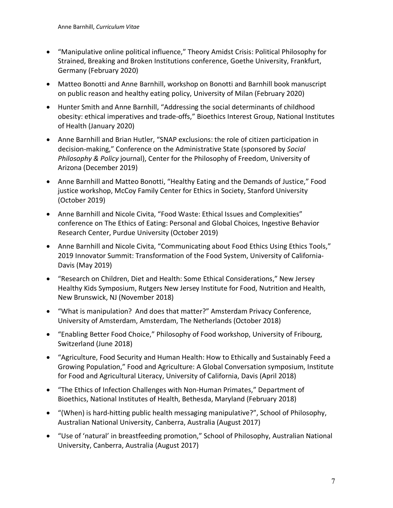- "Manipulative online political influence," Theory Amidst Crisis: Political Philosophy for Strained, Breaking and Broken Institutions conference, Goethe University, Frankfurt, Germany (February 2020)
- Matteo Bonotti and Anne Barnhill, workshop on Bonotti and Barnhill book manuscript on public reason and healthy eating policy, University of Milan (February 2020)
- Hunter Smith and Anne Barnhill, "Addressing the social determinants of childhood obesity: ethical imperatives and trade-offs," Bioethics Interest Group, National Institutes of Health (January 2020)
- Anne Barnhill and Brian Hutler, "SNAP exclusions: the role of citizen participation in decision-making," Conference on the Administrative State (sponsored by *Social Philosophy & Policy* journal), Center for the Philosophy of Freedom, University of Arizona (December 2019)
- Anne Barnhill and Matteo Bonotti, "Healthy Eating and the Demands of Justice," Food justice workshop, McCoy Family Center for Ethics in Society, Stanford University (October 2019)
- Anne Barnhill and Nicole Civita, "Food Waste: Ethical Issues and Complexities" conference on The Ethics of Eating: Personal and Global Choices, Ingestive Behavior Research Center, Purdue University (October 2019)
- Anne Barnhill and Nicole Civita, "Communicating about Food Ethics Using Ethics Tools," 2019 Innovator Summit: Transformation of the Food System, University of California-Davis (May 2019)
- "Research on Children, Diet and Health: Some Ethical Considerations," New Jersey Healthy Kids Symposium, Rutgers New Jersey Institute for Food, Nutrition and Health, New Brunswick, NJ (November 2018)
- "What is manipulation? And does that matter?" Amsterdam Privacy Conference, University of Amsterdam, Amsterdam, The Netherlands (October 2018)
- "Enabling Better Food Choice," Philosophy of Food workshop, University of Fribourg, Switzerland (June 2018)
- "Agriculture, Food Security and Human Health: How to Ethically and Sustainably Feed a Growing Population," Food and Agriculture: A Global Conversation symposium, Institute for Food and Agricultural Literacy, University of California, Davis (April 2018)
- "The Ethics of Infection Challenges with Non-Human Primates," Department of Bioethics, National Institutes of Health, Bethesda, Maryland (February 2018)
- "(When) is hard-hitting public health messaging manipulative?", School of Philosophy, Australian National University, Canberra, Australia (August 2017)
- "Use of 'natural' in breastfeeding promotion," School of Philosophy, Australian National University, Canberra, Australia (August 2017)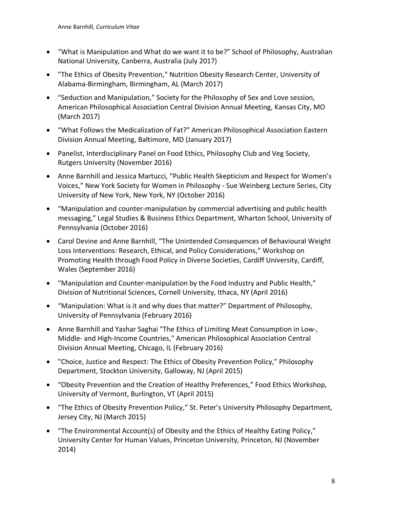- "What is Manipulation and What do we want it to be?" School of Philosophy, Australian National University, Canberra, Australia (July 2017)
- "The Ethics of Obesity Prevention," Nutrition Obesity Research Center, University of Alabama-Birmingham, Birmingham, AL (March 2017)
- "Seduction and Manipulation," Society for the Philosophy of Sex and Love session, American Philosophical Association Central Division Annual Meeting, Kansas City, MO (March 2017)
- "What Follows the Medicalization of Fat?" American Philosophical Association Eastern Division Annual Meeting, Baltimore, MD (January 2017)
- Panelist, Interdisciplinary Panel on Food Ethics, Philosophy Club and Veg Society, Rutgers University (November 2016)
- Anne Barnhill and Jessica Martucci, "Public Health Skepticism and Respect for Women's Voices," New York Society for Women in Philosophy - Sue Weinberg Lecture Series, City University of New York, New York, NY (October 2016)
- "Manipulation and counter-manipulation by commercial advertising and public health messaging," Legal Studies & Business Ethics Department, Wharton School, University of Pennsylvania (October 2016)
- Carol Devine and Anne Barnhill, "The Unintended Consequences of Behavioural Weight Loss Interventions: Research, Ethical, and Policy Considerations," Workshop on Promoting Health through Food Policy in Diverse Societies, Cardiff University, Cardiff, Wales (September 2016)
- "Manipulation and Counter-manipulation by the Food Industry and Public Health," Division of Nutritional Sciences, Cornell University, Ithaca, NY (April 2016)
- "Manipulation: What is it and why does that matter?" Department of Philosophy, University of Pennsylvania (February 2016)
- Anne Barnhill and Yashar Saghai "The Ethics of Limiting Meat Consumption in Low-, Middle- and High-Income Countries," American Philosophical Association Central Division Annual Meeting, Chicago, IL (February 2016)
- "Choice, Justice and Respect: The Ethics of Obesity Prevention Policy," Philosophy Department, Stockton University, Galloway, NJ (April 2015)
- "Obesity Prevention and the Creation of Healthy Preferences," Food Ethics Workshop, University of Vermont, Burlington, VT (April 2015)
- "The Ethics of Obesity Prevention Policy," St. Peter's University Philosophy Department, Jersey City, NJ (March 2015)
- "The Environmental Account(s) of Obesity and the Ethics of Healthy Eating Policy," University Center for Human Values, Princeton University, Princeton, NJ (November 2014)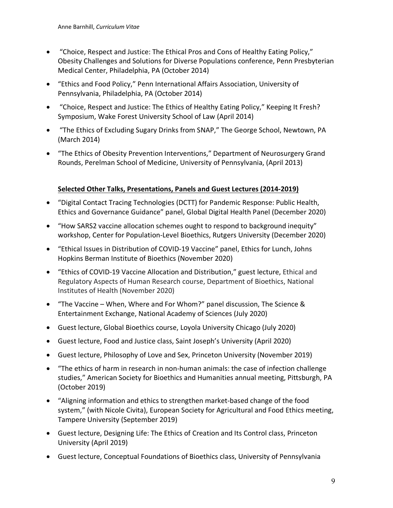- "Choice, Respect and Justice: The Ethical Pros and Cons of Healthy Eating Policy," Obesity Challenges and Solutions for Diverse Populations conference, Penn Presbyterian Medical Center, Philadelphia, PA (October 2014)
- "Ethics and Food Policy," Penn International Affairs Association, University of Pennsylvania, Philadelphia, PA (October 2014)
- "Choice, Respect and Justice: The Ethics of Healthy Eating Policy," Keeping It Fresh? Symposium, Wake Forest University School of Law (April 2014)
- "The Ethics of Excluding Sugary Drinks from SNAP," The George School, Newtown, PA (March 2014)
- "The Ethics of Obesity Prevention Interventions," Department of Neurosurgery Grand Rounds, Perelman School of Medicine, University of Pennsylvania, (April 2013)

## **Selected Other Talks, Presentations, Panels and Guest Lectures (2014-2019)**

- "Digital Contact Tracing Technologies (DCTT) for Pandemic Response: Public Health, Ethics and Governance Guidance" panel, Global Digital Health Panel (December 2020)
- "How SARS2 vaccine allocation schemes ought to respond to background inequity" workshop, Center for Population-Level Bioethics, Rutgers University (December 2020)
- "Ethical Issues in Distribution of COVID-19 Vaccine" panel, Ethics for Lunch, Johns Hopkins Berman Institute of Bioethics (November 2020)
- "Ethics of COVID-19 Vaccine Allocation and Distribution," guest lecture, Ethical and Regulatory Aspects of Human Research course, Department of Bioethics, National Institutes of Health (November 2020)
- "The Vaccine When, Where and For Whom?" panel discussion, The Science & Entertainment Exchange, National Academy of Sciences (July 2020)
- Guest lecture, Global Bioethics course, Loyola University Chicago (July 2020)
- Guest lecture, Food and Justice class, Saint Joseph's University (April 2020)
- Guest lecture, Philosophy of Love and Sex, Princeton University (November 2019)
- "The ethics of harm in research in non-human animals: the case of infection challenge studies," American Society for Bioethics and Humanities annual meeting, Pittsburgh, PA (October 2019)
- "Aligning information and ethics to strengthen market-based change of the food system," (with Nicole Civita), European Society for Agricultural and Food Ethics meeting, Tampere University (September 2019)
- Guest lecture, Designing Life: The Ethics of Creation and Its Control class, Princeton University (April 2019)
- Guest lecture, Conceptual Foundations of Bioethics class, University of Pennsylvania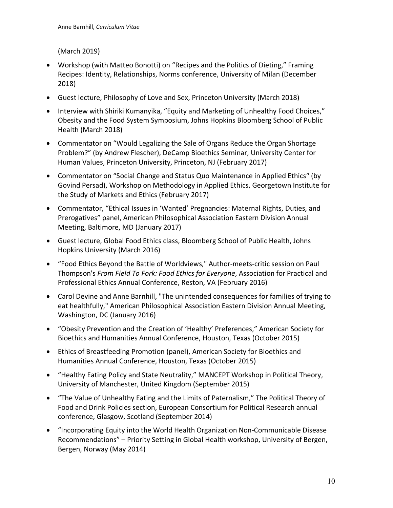(March 2019)

- Workshop (with Matteo Bonotti) on "Recipes and the Politics of Dieting," Framing Recipes: Identity, Relationships, Norms conference, University of Milan (December 2018)
- Guest lecture, Philosophy of Love and Sex, Princeton University (March 2018)
- Interview with Shiriki Kumanyika, "Equity and Marketing of Unhealthy Food Choices," Obesity and the Food System Symposium, Johns Hopkins Bloomberg School of Public Health (March 2018)
- Commentator on "Would Legalizing the Sale of Organs Reduce the Organ Shortage Problem?" (by Andrew Flescher), DeCamp Bioethics Seminar, University Center for Human Values, Princeton University, Princeton, NJ (February 2017)
- Commentator on "Social Change and Status Quo Maintenance in Applied Ethics" (by Govind Persad), Workshop on Methodology in Applied Ethics, Georgetown Institute for the Study of Markets and Ethics (February 2017)
- Commentator, "Ethical Issues in 'Wanted' Pregnancies: Maternal Rights, Duties, and Prerogatives" panel, American Philosophical Association Eastern Division Annual Meeting, Baltimore, MD (January 2017)
- Guest lecture, Global Food Ethics class, Bloomberg School of Public Health, Johns Hopkins University (March 2016)
- "Food Ethics Beyond the Battle of Worldviews," Author-meets-critic session on Paul Thompson's *From Field To Fork: Food Ethics for Everyone*, Association for Practical and Professional Ethics Annual Conference, Reston, VA (February 2016)
- Carol Devine and Anne Barnhill, "The unintended consequences for families of trying to eat healthfully," American Philosophical Association Eastern Division Annual Meeting, Washington, DC (January 2016)
- "Obesity Prevention and the Creation of 'Healthy' Preferences," American Society for Bioethics and Humanities Annual Conference, Houston, Texas (October 2015)
- Ethics of Breastfeeding Promotion (panel), American Society for Bioethics and Humanities Annual Conference, Houston, Texas (October 2015)
- "Healthy Eating Policy and State Neutrality," MANCEPT Workshop in Political Theory, University of Manchester, United Kingdom (September 2015)
- "The Value of Unhealthy Eating and the Limits of Paternalism," The Political Theory of Food and Drink Policies section, European Consortium for Political Research annual conference, Glasgow, Scotland (September 2014)
- "Incorporating Equity into the World Health Organization Non-Communicable Disease Recommendations" – Priority Setting in Global Health workshop, University of Bergen, Bergen, Norway (May 2014)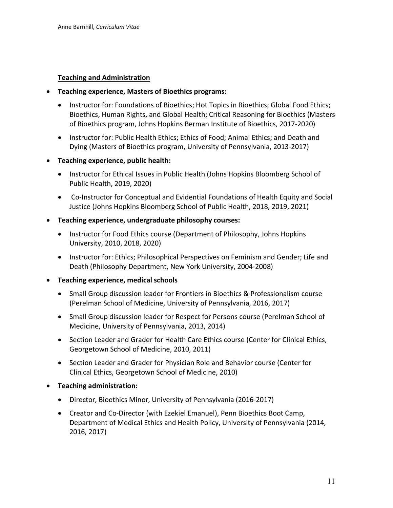### **Teaching and Administration**

- **Teaching experience, Masters of Bioethics programs:** 
	- Instructor for: Foundations of Bioethics; Hot Topics in Bioethics; Global Food Ethics; Bioethics, Human Rights, and Global Health; Critical Reasoning for Bioethics (Masters of Bioethics program, Johns Hopkins Berman Institute of Bioethics, 2017-2020)
	- Instructor for: Public Health Ethics; Ethics of Food; Animal Ethics; and Death and Dying (Masters of Bioethics program, University of Pennsylvania, 2013-2017)
- **Teaching experience, public health:** 
	- Instructor for Ethical Issues in Public Health (Johns Hopkins Bloomberg School of Public Health, 2019, 2020)
	- Co-Instructor for Conceptual and Evidential Foundations of Health Equity and Social Justice (Johns Hopkins Bloomberg School of Public Health, 2018, 2019, 2021)
- **Teaching experience, undergraduate philosophy courses:** 
	- Instructor for Food Ethics course (Department of Philosophy, Johns Hopkins University, 2010, 2018, 2020)
	- Instructor for: Ethics; Philosophical Perspectives on Feminism and Gender; Life and Death (Philosophy Department, New York University, 2004-2008)
- **Teaching experience, medical schools** 
	- Small Group discussion leader for Frontiers in Bioethics & Professionalism course (Perelman School of Medicine, University of Pennsylvania, 2016, 2017)
	- Small Group discussion leader for Respect for Persons course (Perelman School of Medicine, University of Pennsylvania, 2013, 2014)
	- Section Leader and Grader for Health Care Ethics course (Center for Clinical Ethics, Georgetown School of Medicine, 2010, 2011)
	- Section Leader and Grader for Physician Role and Behavior course (Center for Clinical Ethics, Georgetown School of Medicine, 2010)
- **Teaching administration:**
	- Director, Bioethics Minor, University of Pennsylvania (2016-2017)
	- Creator and Co-Director (with Ezekiel Emanuel), Penn Bioethics Boot Camp, Department of Medical Ethics and Health Policy, University of Pennsylvania (2014, 2016, 2017)